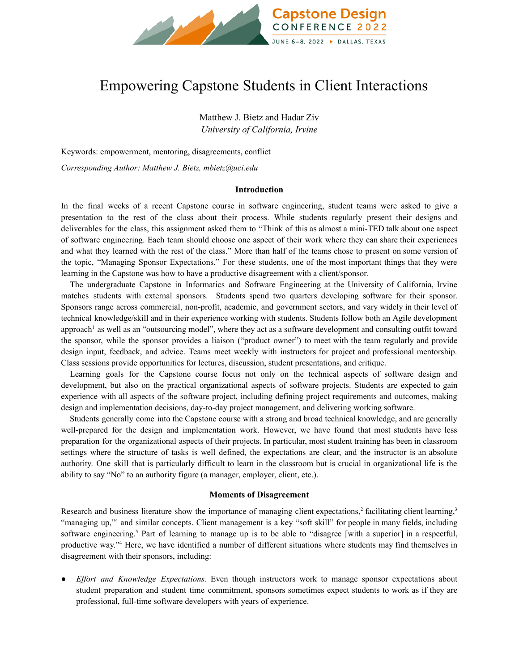

# Empowering Capstone Students in Client Interactions

Matthew J. Bietz and Hadar Ziv *University of California, Irvine*

Keywords: empowerment, mentoring, disagreements, conflict

*Corresponding Author: Matthew J. Bietz, [mbietz@uci.edu](mailto:mbietz@uci.edu)*

#### **Introduction**

In the final weeks of a recent Capstone course in software engineering, student teams were asked to give a presentation to the rest of the class about their process. While students regularly present their designs and deliverables for the class, this assignment asked them to "Think of this as almost a mini-TED talk about one aspect of software engineering. Each team should choose one aspect of their work where they can share their experiences and what they learned with the rest of the class." More than half of the teams chose to present on some version of the topic, "Managing Sponsor Expectations." For these students, one of the most important things that they were learning in the Capstone was how to have a productive disagreement with a client/sponsor.

The undergraduate Capstone in Informatics and Software Engineering at the University of California, Irvine matches students with external sponsors. Students spend two quarters developing software for their sponsor. Sponsors range across commercial, non-profit, academic, and government sectors, and vary widely in their level of technical knowledge/skill and in their experience working with students. Students follow both an Agile development approach<sup>1</sup> as well as an "outsourcing model", where they act as a software development and consulting outfit toward the sponsor, while the sponsor provides a liaison ("product owner") to meet with the team regularly and provide design input, feedback, and advice. Teams meet weekly with instructors for project and professional mentorship. Class sessions provide opportunities for lectures, discussion, student presentations, and critique.

Learning goals for the Capstone course focus not only on the technical aspects of software design and development, but also on the practical organizational aspects of software projects. Students are expected to gain experience with all aspects of the software project, including defining project requirements and outcomes, making design and implementation decisions, day-to-day project management, and delivering working software.

Students generally come into the Capstone course with a strong and broad technical knowledge, and are generally well-prepared for the design and implementation work. However, we have found that most students have less preparation for the organizational aspects of their projects. In particular, most student training has been in classroom settings where the structure of tasks is well defined, the expectations are clear, and the instructor is an absolute authority. One skill that is particularly difficult to learn in the classroom but is crucial in organizational life is the ability to say "No" to an authority figure (a manager, employer, client, etc.).

### **Moments of Disagreement**

Research and business literature show the importance of managing client expectations,  $\frac{2}{3}$  facilitating client learning,  $\frac{3}{3}$ "managing up,"<sup>4</sup> and similar concepts. Client management is a key "soft skill" for people in many fields, including software engineering.<sup>5</sup> Part of learning to manage up is to be able to "disagree [with a superior] in a respectful, productive way."<sup>4</sup> Here, we have identified a number of different situations where students may find themselves in disagreement with their sponsors, including:

● *Effort and Knowledge Expectations.* Even though instructors work to manage sponsor expectations about student preparation and student time commitment, sponsors sometimes expect students to work as if they are professional, full-time software developers with years of experience.